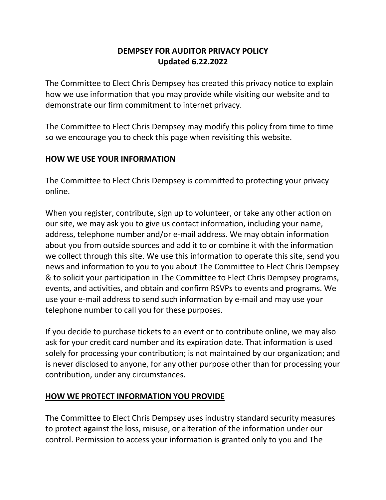# **DEMPSEY FOR AUDITOR PRIVACY POLICY Updated 6.22.2022**

The Committee to Elect Chris Dempsey has created this privacy notice to explain how we use information that you may provide while visiting our website and to demonstrate our firm commitment to internet privacy.

The Committee to Elect Chris Dempsey may modify this policy from time to time so we encourage you to check this page when revisiting this website.

### **HOW WE USE YOUR INFORMATION**

The Committee to Elect Chris Dempsey is committed to protecting your privacy online.

When you register, contribute, sign up to volunteer, or take any other action on our site, we may ask you to give us contact information, including your name, address, telephone number and/or e-mail address. We may obtain information about you from outside sources and add it to or combine it with the information we collect through this site. We use this information to operate this site, send you news and information to you to you about The Committee to Elect Chris Dempsey & to solicit your participation in The Committee to Elect Chris Dempsey programs, events, and activities, and obtain and confirm RSVPs to events and programs. We use your e-mail address to send such information by e-mail and may use your telephone number to call you for these purposes.

If you decide to purchase tickets to an event or to contribute online, we may also ask for your credit card number and its expiration date. That information is used solely for processing your contribution; is not maintained by our organization; and is never disclosed to anyone, for any other purpose other than for processing your contribution, under any circumstances.

### **HOW WE PROTECT INFORMATION YOU PROVIDE**

The Committee to Elect Chris Dempsey uses industry standard security measures to protect against the loss, misuse, or alteration of the information under our control. Permission to access your information is granted only to you and The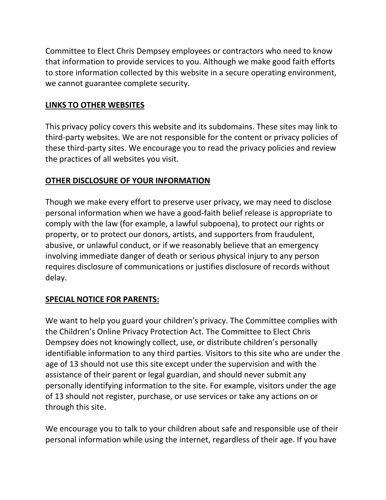Committee to Elect Chris Dempsey employees or contractors who need to know that information to provide services to you. Although we make good faith efforts to store information collected by this website in a secure operating environment, we cannot guarantee complete security.

### **LINKS TO OTHER WEBSITES**

This privacy policy covers this website and its subdomains. These sites may link to third-party websites. We are not responsible for the content or privacy policies of these third-party sites. We encourage you to read the privacy policies and review the practices of all websites you visit.

## **OTHER DISCLOSURE OF YOUR INFORMATION**

Though we make every effort to preserve user privacy, we may need to disclose personal information when we have a good-faith belief release is appropriate to comply with the law (for example, a lawful subpoena), to protect our rights or property, or to protect our donors, artists, and supporters from fraudulent, abusive, or unlawful conduct, or if we reasonably believe that an emergency involving immediate danger of death or serious physical injury to any person requires disclosure of communications or justifies disclosure of records without delay.

### **SPECIAL NOTICE FOR PARENTS:**

We want to help you guard your children's privacy. The Committee complies with the Children's Online Privacy Protection Act. The Committee to Elect Chris Dempsey does not knowingly collect, use, or distribute children's personally identifiable information to any third parties. Visitors to this site who are under the age of 13 should not use this site except under the supervision and with the assistance of their parent or legal guardian, and should never submit any personally identifying information to the site. For example, visitors under the age of 13 should not register, purchase, or use services or take any actions on or through this site.

We encourage you to talk to your children about safe and responsible use of their personal information while using the internet, regardless of their age. If you have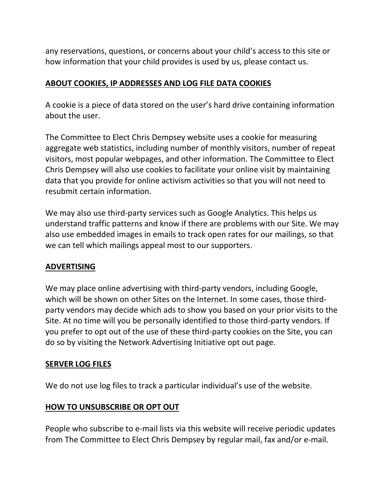any reservations, questions, or concerns about your child's access to this site or how information that your child provides is used by us, please contact us.

### **ABOUT COOKIES, IP ADDRESSES AND LOG FILE DATA COOKIES**

A cookie is a piece of data stored on the user's hard drive containing information about the user.

The Committee to Elect Chris Dempsey website uses a cookie for measuring aggregate web statistics, including number of monthly visitors, number of repeat visitors, most popular webpages, and other information. The Committee to Elect Chris Dempsey will also use cookies to facilitate your online visit by maintaining data that you provide for online activism activities so that you will not need to resubmit certain information.

We may also use third-party services such as Google Analytics. This helps us understand traffic patterns and know if there are problems with our Site. We may also use embedded images in emails to track open rates for our mailings, so that we can tell which mailings appeal most to our supporters.

### **ADVERTISING**

We may place online advertising with third-party vendors, including Google, which will be shown on other Sites on the Internet. In some cases, those thirdparty vendors may decide which ads to show you based on your prior visits to the Site. At no time will you be personally identified to those third-party vendors. If you prefer to opt out of the use of these third-party cookies on the Site, you can do so by visiting the Network Advertising Initiative opt out page.

### **SERVER LOG FILES**

We do not use log files to track a particular individual's use of the website.

### **HOW TO UNSUBSCRIBE OR OPT OUT**

People who subscribe to e-mail lists via this website will receive periodic updates from The Committee to Elect Chris Dempsey by regular mail, fax and/or e-mail.